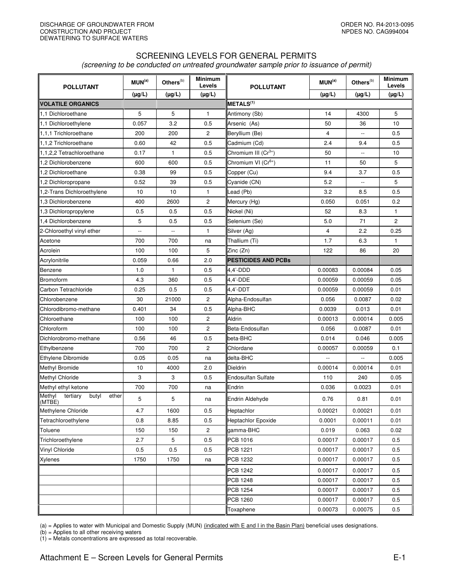## SCREENING LEVELS FOR GENERAL PERMITS

(screening to be conducted on untreated groundwater sample prior to issuance of permit)

| <b>POLLUTANT</b>                               | MUN <sup>(a)</sup>       | Others <sup>(b)</sup>    | <b>Minimum</b><br>Levels | POLLUTANT                        | MUN <sup>(a)</sup> | Others <sup>(b)</sup>    | <b>Minimum</b><br>Levels |
|------------------------------------------------|--------------------------|--------------------------|--------------------------|----------------------------------|--------------------|--------------------------|--------------------------|
|                                                | $(\mu g/L)$              | $(\mu g/L)$              | $(\mu g/L)$              |                                  | $(\mu g/L)$        | $(\mu g/L)$              | $(\mu g/L)$              |
| <b>VOLATILE ORGANICS</b>                       |                          |                          |                          | METALS <sup>(1)</sup>            |                    |                          |                          |
| 1.1 Dichloroethane                             | 5                        | 5                        | 1                        | Antimony (Sb)                    | 14                 | 4300                     | 5                        |
| 1,1 Dichloroethylene                           | 0.057                    | 3.2                      | 0.5                      | Arsenic (As)                     | 50                 | 36                       | 10                       |
| 1,1,1 Trichloroethane                          | 200                      | 200                      | $\mathbf{2}$             | Beryllium (Be)                   | $\overline{4}$     | $\overline{\phantom{a}}$ | 0.5                      |
| 1,1,2 Trichloroethane                          | 0.60                     | 42                       | 0.5                      | Cadmium (Cd)                     | 2.4                | 9.4                      | 0.5                      |
| 1,1,2,2 Tetrachloroethane                      | 0.17                     | $\mathbf{1}$             | 0.5                      | Chromium III (Cr <sup>3+</sup> ) | 50                 | $\overline{a}$           | 10                       |
| 1,2 Dichlorobenzene                            | 600                      | 600                      | 0.5                      | Chromium VI (Cr <sup>6+</sup> )  | 11                 | 50                       | 5                        |
| 1,2 Dichloroethane                             | 0.38                     | 99                       | 0.5                      | Copper (Cu)                      | 9.4                | 3.7                      | 0.5                      |
| 1,2 Dichloropropane                            | 0.52                     | 39                       | 0.5                      | Cyanide (CN)                     | 5.2                | $\overline{\phantom{a}}$ | 5                        |
| 1,2-Trans Dichloroethylene                     | 10                       | 10                       | 1                        | Lead (Pb)                        | 3.2                | 8.5                      | 0.5                      |
| 1,3 Dichlorobenzene                            | 400                      | 2600                     | $\mathbf{2}^{\prime}$    | Mercury (Hg)                     | 0.050              | 0.051                    | 0.2                      |
| 1,3 Dichloropropylene                          | 0.5                      | 0.5                      | 0.5                      | Nickel (Ni)                      | 52                 | 8.3                      | $\mathbf{1}$             |
| 1,4 Dichlorobenzene                            | 5                        | 0.5                      | 0.5                      | Selenium (Se)                    | 5.0                | 71                       | $\overline{c}$           |
| 2-Chloroethyl vinyl ether                      | $\overline{\phantom{a}}$ | $\overline{\phantom{a}}$ | 1                        | Silver (Ag)                      | $\overline{4}$     | 2.2                      | 0.25                     |
| Acetone                                        | 700                      | 700                      | na                       | Thallium (Ti)                    | 1.7                | 6.3                      | $\mathbf{1}$             |
| Acrolein                                       | 100                      | 100                      | 5                        | Zinc (Zn)                        | 122                | 86                       | 20                       |
| Acrylonitrile                                  | 0.059                    | 0.66                     | 2.0                      | <b>PESTICIDES AND PCBs</b>       |                    |                          |                          |
| Benzene                                        | 1.0                      | 1                        | 0.5                      | $4,4'$ -DDD                      | 0.00083            | 0.00084                  | 0.05                     |
| Bromoform                                      | 4.3                      | 360                      | 0.5                      | 4,4'-DDE                         | 0.00059            | 0.00059                  | 0.05                     |
| Carbon Tetrachloride                           | 0.25                     | 0.5                      | 0.5                      | $4,4'$ -DDT                      | 0.00059            | 0.00059                  | 0.01                     |
| Chlorobenzene                                  | 30                       | 21000                    | $\mathbf{2}^{\prime}$    | Alpha-Endosulfan                 | 0.056              | 0.0087                   | 0.02                     |
| Chlorodibromo-methane                          | 0.401                    | 34                       | 0.5                      | Alpha-BHC                        | 0.0039             | 0.013                    | 0.01                     |
| Chloroethane                                   | 100                      | 100                      | $\mathbf{2}$             | Aldrin                           | 0.00013            | 0.00014                  | 0.005                    |
| Chloroform                                     | 100                      | 100                      | $\mathbf{2}^{\prime}$    | Beta-Endosulfan                  | 0.056              | 0.0087                   | 0.01                     |
| Dichlorobromo-methane                          | 0.56                     | 46                       | 0.5                      | beta-BHC                         | 0.014              | 0.046                    | 0.005                    |
| Ethylbenzene                                   | 700                      | 700                      | $\overline{c}$           | Chlordane                        | 0.00057            | 0.00059                  | 0.1                      |
| Ethylene Dibromide                             | 0.05                     | 0.05                     | na                       | delta-BHC                        |                    | $\overline{\phantom{a}}$ | 0.005                    |
| Methyl Bromide                                 | 10                       | 4000                     | 2.0                      | Dieldrin                         | 0.00014            | 0.00014                  | 0.01                     |
| Methyl Chloride                                | 3                        | 3                        | 0.5                      | <b>Endosulfan Sulfate</b>        | 110                | 240                      | 0.05                     |
| Methyl ethyl ketone                            | 700                      | 700                      | na                       | Endrin                           | 0.036              | 0.0023                   | 0.01                     |
| Methyl<br>tertiary<br>butyl<br>ether<br>(MTBE) | 5                        | 5                        | na                       | Endrin Aldehyde                  | 0.76               | 0.81                     | 0.01                     |
| Methylene Chloride                             | 4.7                      | 1600                     | 0.5                      | Heptachlor                       | 0.00021            | 0.00021                  | 0.01                     |
| Tetrachloroethylene                            | 0.8                      | 8.85                     | 0.5                      | <b>Heptachlor Epoxide</b>        | 0.0001             | 0.00011                  | 0.01                     |
| Toluene                                        | 150                      | 150                      | $\overline{c}$           | gamma-BHC                        | 0.019              | 0.063                    | 0.02                     |
| Trichloroethylene                              | 2.7                      | 5                        | 0.5                      | PCB 1016                         | 0.00017            | 0.00017                  | 0.5                      |
| Vinyl Chloride                                 | 0.5                      | 0.5                      | 0.5                      | <b>PCB 1221</b>                  | 0.00017            | 0.00017                  | 0.5                      |
| Xylenes                                        | 1750                     | 1750                     | na                       | PCB 1232                         | 0.00017            | 0.00017                  | 0.5                      |
|                                                |                          |                          |                          | <b>PCB 1242</b>                  | 0.00017            | 0.00017                  | 0.5                      |
|                                                |                          |                          |                          | <b>PCB 1248</b>                  | 0.00017            | 0.00017                  | 0.5                      |
|                                                |                          |                          |                          | <b>PCB 1254</b>                  | 0.00017            | 0.00017                  | 0.5                      |
|                                                |                          |                          |                          | <b>PCB 1260</b>                  | 0.00017            | 0.00017                  | 0.5                      |
|                                                |                          |                          |                          | Toxaphene                        | 0.00073            | 0.00075                  | 0.5                      |

(a) = Applies to water with Municipal and Domestic Supply (MUN) (indicated with E and I in the Basin Plan) beneficial uses designations.

(b) = Applies to all other receiving waters

 $(1)$  = Metals concentrations are expressed as total recoverable.